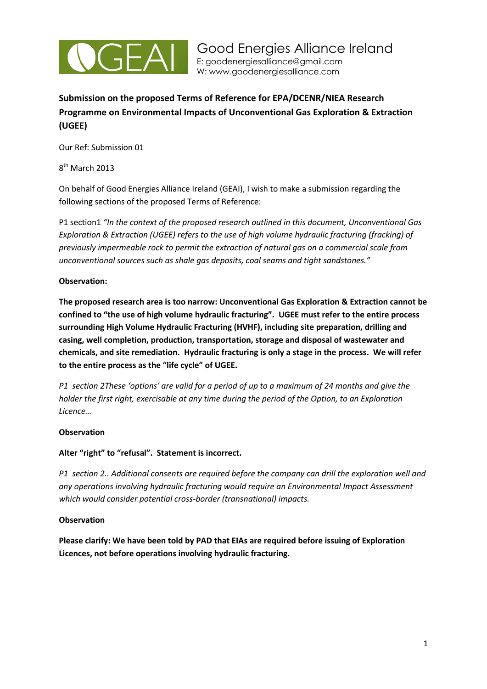

# **Submission on the proposed Terms of Reference for EPA/DCENR/NIEA Research Programme on Environmental Impacts of Unconventional Gas Exploration & Extraction (UGEE)**

Our Ref: Submission 01

8<sup>th</sup> March 2013

On behalf of Good Energies Alliance Ireland (GEAI), I wish to make a submission regarding the following sections of the proposed Terms of Reference:

P1 section1 "In the context of the proposed research outlined in this document, Unconventional Gas *Exploration & Extraction (UGEE) refers to the use of high volume hydraulic fracturing (fracking) of previously impermeable rock to permit the extraction of natural gas on a commercial scale from unconventional sources such as shale gas deposits, coal seams and tight sandstones."*

## **Observation:**

**The proposed research area is too narrow: Unconventional Gas Exploration & Extraction cannot be confined to "the use of high volume hydraulic fracturing". UGEE must refer to the entire process surrounding High Volume Hydraulic Fracturing (HVHF), including site preparation, drilling and casing, well completion, production, transportation, storage and disposal of wastewater and chemicals, and site remediation. Hydraulic fracturing is only a stage in the process. We will refer to the entire process as the "life cycle" of UGEE.**

*P1 section 2These 'options' are valid for a period of up to a maximum of 24 months and give the holder the first right, exercisable at any time during the period of the Option, to an Exploration Licence…*

## **Observation**

## **Alter "right" to "refusal". Statement is incorrect.**

*P1 section 2.. Additional consents are required before the company can drill the exploration well and any operations involving hydraulic fracturing would require an Environmental Impact Assessment which would consider potential cross-border (transnational) impacts.* 

## **Observation**

**Please clarify: We have been told by PAD that EIAs are required before issuing of Exploration Licences, not before operations involving hydraulic fracturing.**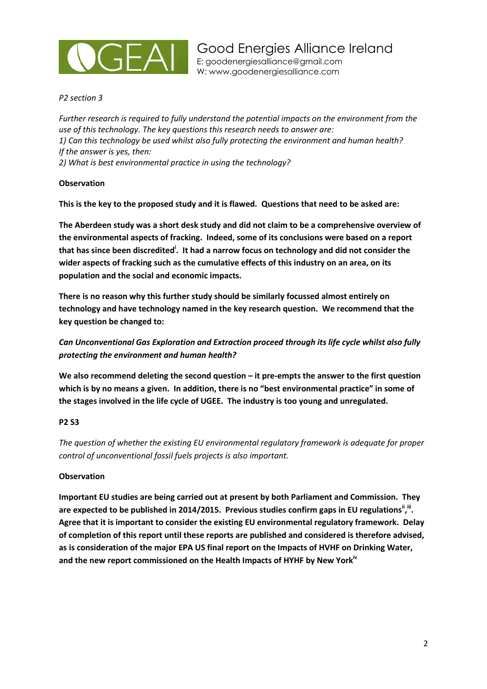

*P2 section 3*

*Further research is required to fully understand the potential impacts on the environment from the use of this technology. The key questions this research needs to answer are: 1) Can this technology be used whilst also fully protecting the environment and human health? If the answer is yes, then: 2) What is best environmental practice in using the technology?*

### **Observation**

**This is the key to the proposed study and it is flawed. Questions that need to be asked are:**

**The Aberdeen study was a short desk study and did not claim to be a comprehensive overview of the environmental aspects of fracking. Indeed, some of its conclusions were based on a report that has since been discredited<sup>i</sup> . It had a narrow focus on technology and did not consider the wider aspects of fracking such as the cumulative effects of this industry on an area, on its population and the social and economic impacts.** 

**There is no reason why this further study should be similarly focussed almost entirely on technology and have technology named in the key research question. We recommend that the key question be changed to:**

*Can Unconventional Gas Exploration and Extraction proceed through its life cycle whilst also fully protecting the environment and human health?*

**We also recommend deleting the second question – it pre-empts the answer to the first question which is by no means a given. In addition, there is no "best environmental practice" in some of the stages involved in the life cycle of UGEE. The industry is too young and unregulated.**

## **P2 S3**

*The question of whether the existing EU environmental regulatory framework is adequate for proper control of unconventional fossil fuels projects is also important.*

#### **Observation**

**Important EU studies are being carried out at present by both Parliament and Commission. They**  are expected to be published in 2014/2015. Previous studies confirm gaps in EU regulations<sup>i', ii</sup>. **Agree that it is important to consider the existing EU environmental regulatory framework. Delay of completion of this report until these reports are published and considered is therefore advised, as is consideration of the major EPA US final report on the Impacts of HVHF on Drinking Water, and the new report commissioned on the Health Impacts of HYHF by New Yorkiv**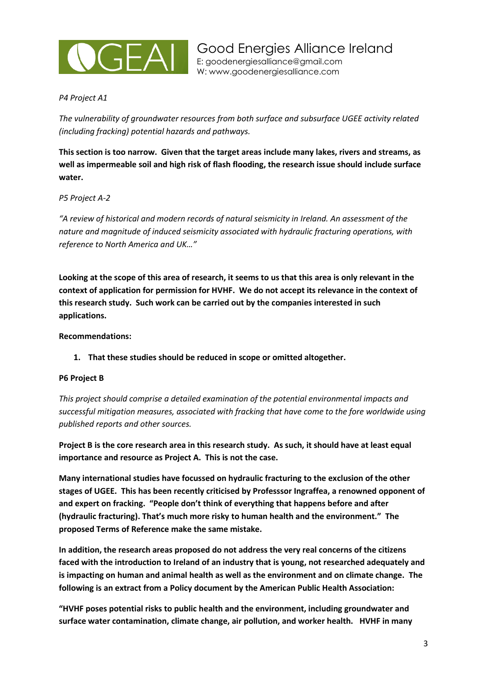

## *P4 Project A1*

*The vulnerability of groundwater resources from both surface and subsurface UGEE activity related (including fracking) potential hazards and pathways.*

**This section is too narrow. Given that the target areas include many lakes, rivers and streams, as well as impermeable soil and high risk of flash flooding, the research issue should include surface water.**

### *P5 Project A-2*

*"A review of historical and modern records of natural seismicity in Ireland. An assessment of the nature and magnitude of induced seismicity associated with hydraulic fracturing operations, with reference to North America and UK…"*

**Looking at the scope of this area of research, it seems to us that this area is only relevant in the context of application for permission for HVHF. We do not accept its relevance in the context of this research study. Such work can be carried out by the companies interested in such applications.**

**Recommendations:**

**1. That these studies should be reduced in scope or omitted altogether.**

#### **P6 Project B**

*This project should comprise a detailed examination of the potential environmental impacts and successful mitigation measures, associated with fracking that have come to the fore worldwide using published reports and other sources.*

**Project B is the core research area in this research study. As such, it should have at least equal importance and resource as Project A. This is not the case.** 

**Many international studies have focussed on hydraulic fracturing to the exclusion of the other stages of UGEE. This has been recently criticised by Professsor Ingraffea, a renowned opponent of and expert on fracking. "People don't think of everything that happens before and after (hydraulic fracturing). That's much more risky to human health and the environment." The proposed Terms of Reference make the same mistake.**

**In addition, the research areas proposed do not address the very real concerns of the citizens faced with the introduction to Ireland of an industry that is young, not researched adequately and is impacting on human and animal health as well as the environment and on climate change. The following is an extract from a Policy document by the American Public Health Association:**

**"HVHF poses potential risks to public health and the environment, including groundwater and surface water contamination, climate change, air pollution, and worker health. HVHF in many**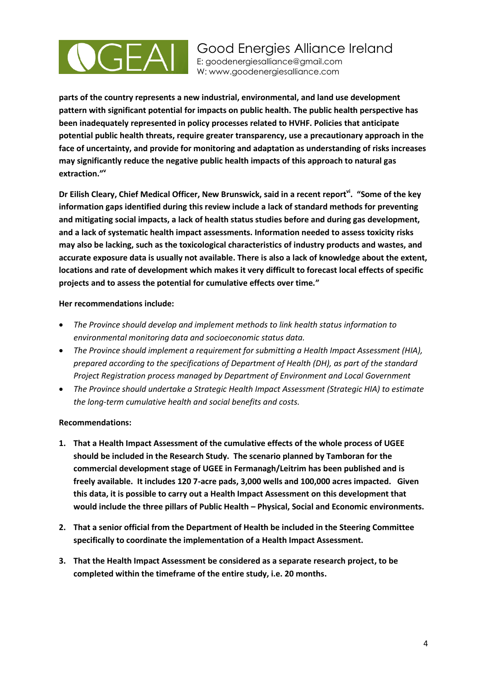

**parts of the country represents a new industrial, environmental, and land use development pattern with significant potential for impacts on public health. The public health perspective has been inadequately represented in policy processes related to HVHF. Policies that anticipate potential public health threats, require greater transparency, use a precautionary approach in the face of uncertainty, and provide for monitoring and adaptation as understanding of risks increases may significantly reduce the negative public health impacts of this approach to natural gas extraction." v**

**Dr Eilish Cleary, Chief Medical Officer, New Brunswick, said in a recent reportvi. "Some of the key information gaps identified during this review include a lack of standard methods for preventing and mitigating social impacts, a lack of health status studies before and during gas development, and a lack of systematic health impact assessments. Information needed to assess toxicity risks may also be lacking, such as the toxicological characteristics of industry products and wastes, and accurate exposure data is usually not available. There is also a lack of knowledge about the extent, locations and rate of development which makes it very difficult to forecast local effects of specific projects and to assess the potential for cumulative effects over time."**

### **Her recommendations include:**

- *The Province should develop and implement methods to link health status information to environmental monitoring data and socioeconomic status data.*
- *The Province should implement a requirement for submitting a Health Impact Assessment (HIA), prepared according to the specifications of Department of Health (DH), as part of the standard Project Registration process managed by Department of Environment and Local Government*
- *The Province should undertake a Strategic Health Impact Assessment (Strategic HIA) to estimate the long-term cumulative health and social benefits and costs.*

#### **Recommendations:**

- **1. That a Health Impact Assessment of the cumulative effects of the whole process of UGEE should be included in the Research Study. The scenario planned by Tamboran for the commercial development stage of UGEE in Fermanagh/Leitrim has been published and is freely available. It includes 120 7-acre pads, 3,000 wells and 100,000 acres impacted. Given this data, it is possible to carry out a Health Impact Assessment on this development that would include the three pillars of Public Health – Physical, Social and Economic environments.**
- **2. That a senior official from the Department of Health be included in the Steering Committee specifically to coordinate the implementation of a Health Impact Assessment.**
- **3. That the Health Impact Assessment be considered as a separate research project, to be completed within the timeframe of the entire study, i.e. 20 months.**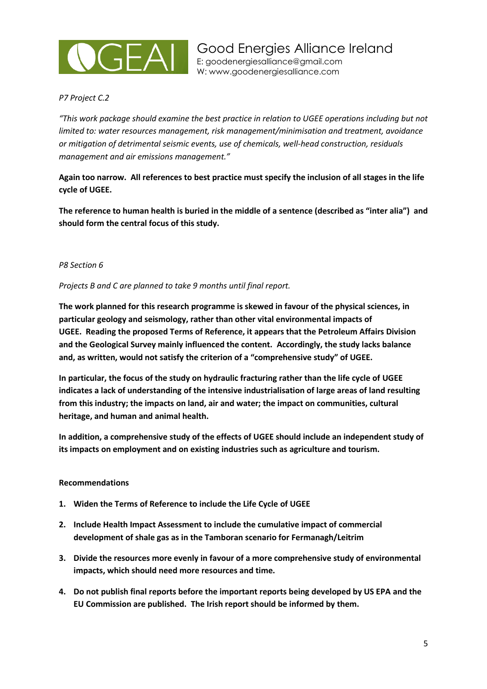

## *P7 Project C.2*

*"This work package should examine the best practice in relation to UGEE operations including but not limited to: water resources management, risk management/minimisation and treatment, avoidance or mitigation of detrimental seismic events, use of chemicals, well-head construction, residuals management and air emissions management."*

**Again too narrow. All references to best practice must specify the inclusion of all stages in the life cycle of UGEE.**

**The reference to human health is buried in the middle of a sentence (described as "inter alia") and should form the central focus of this study.** 

### *P8 Section 6*

*Projects B and C are planned to take 9 months until final report.*

**The work planned for this research programme is skewed in favour of the physical sciences, in particular geology and seismology, rather than other vital environmental impacts of UGEE. Reading the proposed Terms of Reference, it appears that the Petroleum Affairs Division and the Geological Survey mainly influenced the content. Accordingly, the study lacks balance and, as written, would not satisfy the criterion of a "comprehensive study" of UGEE.**

**In particular, the focus of the study on hydraulic fracturing rather than the life cycle of UGEE indicates a lack of understanding of the intensive industrialisation of large areas of land resulting from this industry; the impacts on land, air and water; the impact on communities, cultural heritage, and human and animal health.**

**In addition, a comprehensive study of the effects of UGEE should include an independent study of its impacts on employment and on existing industries such as agriculture and tourism.**

#### **Recommendations**

- **1. Widen the Terms of Reference to include the Life Cycle of UGEE**
- **2. Include Health Impact Assessment to include the cumulative impact of commercial development of shale gas as in the Tamboran scenario for Fermanagh/Leitrim**
- **3. Divide the resources more evenly in favour of a more comprehensive study of environmental impacts, which should need more resources and time.**
- **4. Do not publish final reports before the important reports being developed by US EPA and the EU Commission are published. The Irish report should be informed by them.**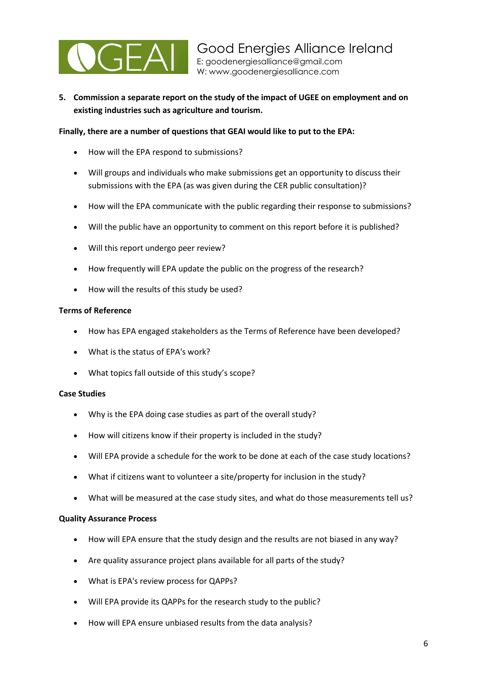

**5. Commission a separate report on the study of the impact of UGEE on employment and on existing industries such as agriculture and tourism.**

#### **Finally, there are a number of questions that GEAI would like to put to the EPA:**

- How will the EPA respond to submissions?
- Will groups and individuals who make submissions get an opportunity to discuss their submissions with the EPA (as was given during the CER public consultation)?
- How will the EPA communicate with the public regarding their response to submissions?
- Will the public have an opportunity to comment on this report before it is published?
- Will this report undergo peer review?
- How frequently will EPA update the public on the progress of the research?
- How will the results of this study be used?

#### **Terms of Reference**

- How has EPA engaged stakeholders as the Terms of Reference have been developed?
- What is the status of EPA's work?
- What topics fall outside of this study's scope?

#### **Case Studies**

- Why is the EPA doing case studies as part of the overall study?
- How will citizens know if their property is included in the study?
- Will EPA provide a schedule for the work to be done at each of the case study locations?
- What if citizens want to volunteer a site/property for inclusion in the study?
- What will be measured at the case study sites, and what do those measurements tell us?

#### **Quality Assurance Process**

- How will EPA ensure that the study design and the results are not biased in any way?
- Are quality assurance project plans available for all parts of the study?
- What is EPA's review process for QAPPs?
- Will EPA provide its QAPPs for the research study to the public?
- How will EPA ensure unbiased results from the data analysis?